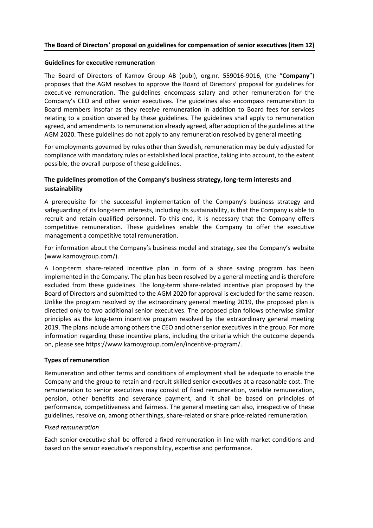# **The Board of Directors' proposal on guidelines for compensation of senior executives (item 12)**

### **Guidelines for executive remuneration**

The Board of Directors of Karnov Group AB (publ), org.nr. 559016-9016, (the "**Company**") proposes that the AGM resolves to approve the Board of Directors' proposal for guidelines for executive remuneration. The guidelines encompass salary and other remuneration for the Company's CEO and other senior executives. The guidelines also encompass remuneration to Board members insofar as they receive remuneration in addition to Board fees for services relating to a position covered by these guidelines. The guidelines shall apply to remuneration agreed, and amendments to remuneration already agreed, after adoption of the guidelines at the AGM 2020. These guidelines do not apply to any remuneration resolved by general meeting.

For employments governed by rules other than Swedish, remuneration may be duly adjusted for compliance with mandatory rules or established local practice, taking into account, to the extent possible, the overall purpose of these guidelines.

# **The guidelines promotion of the Company's business strategy, long-term interests and sustainability**

A prerequisite for the successful implementation of the Company's business strategy and safeguarding of its long-term interests, including its sustainability, is that the Company is able to recruit and retain qualified personnel. To this end, it is necessary that the Company offers competitive remuneration. These guidelines enable the Company to offer the executive management a competitive total remuneration.

For information about the Company's business model and strategy, see the Company's website [\(www.karnovgroup.com/\)](http://www.karnovgroup.com/).

A Long-term share-related incentive plan in form of a share saving program has been implemented in the Company. The plan has been resolved by a general meeting and is therefore excluded from these guidelines. The long-term share-related incentive plan proposed by the Board of Directors and submitted to the AGM 2020 for approval is excluded for the same reason. Unlike the program resolved by the extraordinary general meeting 2019, the proposed plan is directed only to two additional senior executives. The proposed plan follows otherwise similar principles as the long-term incentive program resolved by the extraordinary general meeting 2019. The plans include among others the CEO and other senior executives in the group. For more information regarding these incentive plans, including the criteria which the outcome depends on, please see https://www.karnovgroup.com/en/incentive-program/.

## **Types of remuneration**

Remuneration and other terms and conditions of employment shall be adequate to enable the Company and the group to retain and recruit skilled senior executives at a reasonable cost. The remuneration to senior executives may consist of fixed remuneration, variable remuneration, pension, other benefits and severance payment, and it shall be based on principles of performance, competitiveness and fairness. The general meeting can also, irrespective of these guidelines, resolve on, among other things, share-related or share price-related remuneration.

## *Fixed remuneration*

Each senior executive shall be offered a fixed remuneration in line with market conditions and based on the senior executive's responsibility, expertise and performance.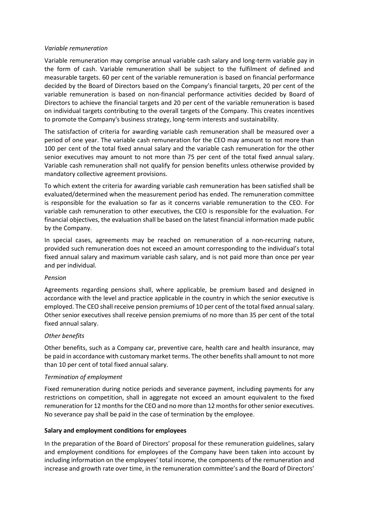### *Variable remuneration*

Variable remuneration may comprise annual variable cash salary and long-term variable pay in the form of cash. Variable remuneration shall be subject to the fulfilment of defined and measurable targets. 60 per cent of the variable remuneration is based on financial performance decided by the Board of Directors based on the Company's financial targets, 20 per cent of the variable remuneration is based on non-financial performance activities decided by Board of Directors to achieve the financial targets and 20 per cent of the variable remuneration is based on individual targets contributing to the overall targets of the Company. This creates incentives to promote the Company's business strategy, long-term interests and sustainability.

The satisfaction of criteria for awarding variable cash remuneration shall be measured over a period of one year. The variable cash remuneration for the CEO may amount to not more than 100 per cent of the total fixed annual salary and the variable cash remuneration for the other senior executives may amount to not more than 75 per cent of the total fixed annual salary. Variable cash remuneration shall not qualify for pension benefits unless otherwise provided by mandatory collective agreement provisions.

To which extent the criteria for awarding variable cash remuneration has been satisfied shall be evaluated/determined when the measurement period has ended. The remuneration committee is responsible for the evaluation so far as it concerns variable remuneration to the CEO. For variable cash remuneration to other executives, the CEO is responsible for the evaluation. For financial objectives, the evaluation shall be based on the latest financial information made public by the Company.

In special cases, agreements may be reached on remuneration of a non-recurring nature, provided such remuneration does not exceed an amount corresponding to the individual's total fixed annual salary and maximum variable cash salary, and is not paid more than once per year and per individual.

#### *Pension*

Agreements regarding pensions shall, where applicable, be premium based and designed in accordance with the level and practice applicable in the country in which the senior executive is employed. The CEO shall receive pension premiums of 10 per cent of the total fixed annual salary. Other senior executives shall receive pension premiums of no more than 35 per cent of the total fixed annual salary.

## *Other benefits*

Other benefits, such as a Company car, preventive care, health care and health insurance, may be paid in accordance with customary market terms. The other benefits shall amount to not more than 10 per cent of total fixed annual salary.

#### *Termination of employment*

Fixed remuneration during notice periods and severance payment, including payments for any restrictions on competition, shall in aggregate not exceed an amount equivalent to the fixed remuneration for 12 months for the CEO and no more than 12 months for other senior executives. No severance pay shall be paid in the case of termination by the employee.

## **Salary and employment conditions for employees**

In the preparation of the Board of Directors' proposal for these remuneration guidelines, salary and employment conditions for employees of the Company have been taken into account by including information on the employees' total income, the components of the remuneration and increase and growth rate over time, in the remuneration committee's and the Board of Directors'